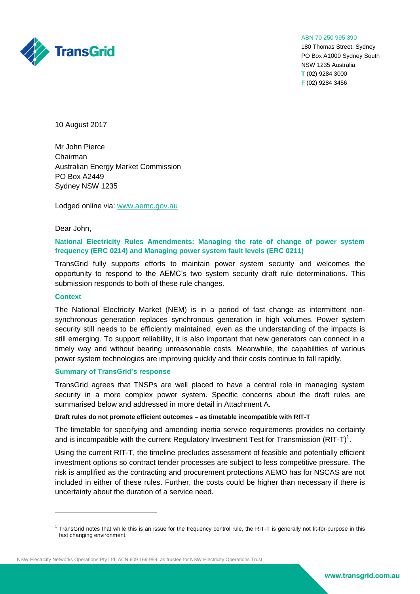

#### ABN 70 250 995 390

180 Thomas Street, Sydney PO Box A1000 Sydney South NSW 1235 Australia **T** (02) 9284 3000 **F** (02) 9284 3456

10 August 2017

Mr John Pierce Chairman Australian Energy Market Commission PO Box A2449 Sydney NSW 1235

Lodged online via: [www.aemc.gov.au](http://www.aemc.gov.au/)

# Dear John,

# **National Electricity Rules Amendments: Managing the rate of change of power system frequency (ERC 0214) and Managing power system fault levels (ERC 0211)**

TransGrid fully supports efforts to maintain power system security and welcomes the opportunity to respond to the AEMC's two system security draft rule determinations. This submission responds to both of these rule changes.

### **Context**

1

The National Electricity Market (NEM) is in a period of fast change as intermittent nonsynchronous generation replaces synchronous generation in high volumes. Power system security still needs to be efficiently maintained, even as the understanding of the impacts is still emerging. To support reliability, it is also important that new generators can connect in a timely way and without bearing unreasonable costs. Meanwhile, the capabilities of various power system technologies are improving quickly and their costs continue to fall rapidly.

# **Summary of TransGrid's response**

TransGrid agrees that TNSPs are well placed to have a central role in managing system security in a more complex power system. Specific concerns about the draft rules are summarised below and addressed in more detail in Attachment A.

### **Draft rules do not promote efficient outcomes – as timetable incompatible with RIT-T**

The timetable for specifying and amending inertia service requirements provides no certainty and is incompatible with the current Regulatory Investment Test for Transmission (RIT-T)<sup>1</sup>.

Using the current RIT-T, the timeline precludes assessment of feasible and potentially efficient investment options so contract tender processes are subject to less competitive pressure. The risk is amplified as the contracting and procurement protections AEMO has for NSCAS are not included in either of these rules. Further, the costs could be higher than necessary if there is uncertainty about the duration of a service need.

<sup>&</sup>lt;sup>1</sup> TransGrid notes that while this is an issue for the frequency control rule, the RIT-T is generally not fit-for-purpose in this fast changing environment.

NSW Electricity Networks Operations Pty Ltd, ACN 609 169 959, as trustee for NSW Electricity Operations Trust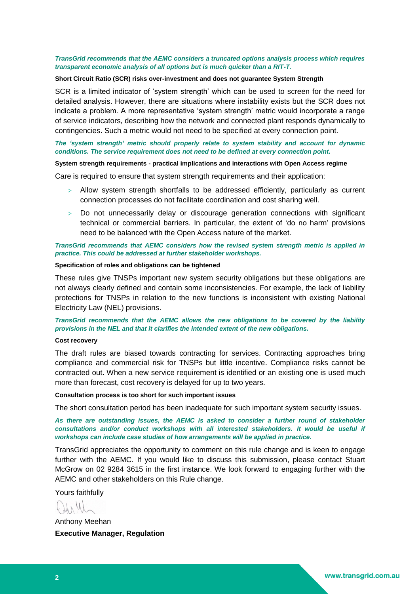# *TransGrid recommends that the AEMC considers a truncated options analysis process which requires transparent economic analysis of all options but is much quicker than a RIT-T.*

### **Short Circuit Ratio (SCR) risks over-investment and does not guarantee System Strength**

SCR is a limited indicator of 'system strength' which can be used to screen for the need for detailed analysis. However, there are situations where instability exists but the SCR does not indicate a problem. A more representative 'system strength' metric would incorporate a range of service indicators, describing how the network and connected plant responds dynamically to contingencies. Such a metric would not need to be specified at every connection point.

# *The 'system strength' metric should properly relate to system stability and account for dynamic conditions. The service requirement does not need to be defined at every connection point.*

# **System strength requirements - practical implications and interactions with Open Access regime**

Care is required to ensure that system strength requirements and their application:

- Allow system strength shortfalls to be addressed efficiently, particularly as current connection processes do not facilitate coordination and cost sharing well.
- Do not unnecessarily delay or discourage generation connections with significant technical or commercial barriers. In particular, the extent of 'do no harm' provisions need to be balanced with the Open Access nature of the market.

# *TransGrid recommends that AEMC considers how the revised system strength metric is applied in practice. This could be addressed at further stakeholder workshops.*

## **Specification of roles and obligations can be tightened**

These rules give TNSPs important new system security obligations but these obligations are not always clearly defined and contain some inconsistencies. For example, the lack of liability protections for TNSPs in relation to the new functions is inconsistent with existing National Electricity Law (NEL) provisions.

*TransGrid recommends that the AEMC allows the new obligations to be covered by the liability provisions in the NEL and that it clarifies the intended extent of the new obligations.*

### **Cost recovery**

The draft rules are biased towards contracting for services. Contracting approaches bring compliance and commercial risk for TNSPs but little incentive. Compliance risks cannot be contracted out. When a new service requirement is identified or an existing one is used much more than forecast, cost recovery is delayed for up to two years.

## **Consultation process is too short for such important issues**

The short consultation period has been inadequate for such important system security issues.

*As there are outstanding issues, the AEMC is asked to consider a further round of stakeholder consultations and/or conduct workshops with all interested stakeholders. It would be useful if workshops can include case studies of how arrangements will be applied in practice.*

TransGrid appreciates the opportunity to comment on this rule change and is keen to engage further with the AEMC. If you would like to discuss this submission, please contact Stuart McGrow on 02 9284 3615 in the first instance. We look forward to engaging further with the AEMC and other stakeholders on this Rule change.

Yours faithfully

Anthony Meehan **Executive Manager, Regulation**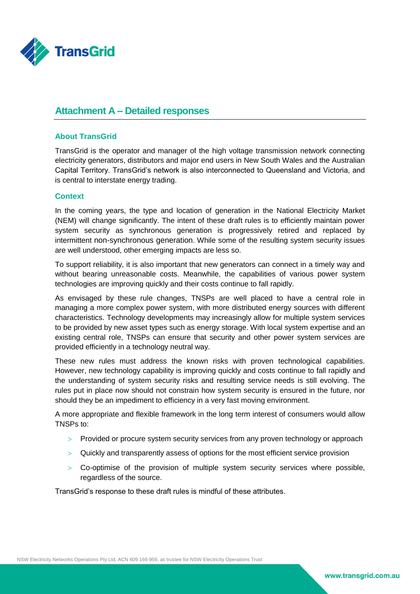

# **Attachment A – Detailed responses**

# **About TransGrid**

TransGrid is the operator and manager of the high voltage transmission network connecting electricity generators, distributors and major end users in New South Wales and the Australian Capital Territory. TransGrid's network is also interconnected to Queensland and Victoria, and is central to interstate energy trading.

# **Context**

In the coming years, the type and location of generation in the National Electricity Market (NEM) will change significantly. The intent of these draft rules is to efficiently maintain power system security as synchronous generation is progressively retired and replaced by intermittent non-synchronous generation. While some of the resulting system security issues are well understood, other emerging impacts are less so.

To support reliability, it is also important that new generators can connect in a timely way and without bearing unreasonable costs. Meanwhile, the capabilities of various power system technologies are improving quickly and their costs continue to fall rapidly.

As envisaged by these rule changes, TNSPs are well placed to have a central role in managing a more complex power system, with more distributed energy sources with different characteristics. Technology developments may increasingly allow for multiple system services to be provided by new asset types such as energy storage. With local system expertise and an existing central role, TNSPs can ensure that security and other power system services are provided efficiently in a technology neutral way.

These new rules must address the known risks with proven technological capabilities. However, new technology capability is improving quickly and costs continue to fall rapidly and the understanding of system security risks and resulting service needs is still evolving. The rules put in place now should not constrain how system security is ensured in the future, nor should they be an impediment to efficiency in a very fast moving environment.

A more appropriate and flexible framework in the long term interest of consumers would allow TNSPs to:

- Provided or procure system security services from any proven technology or approach
- Quickly and transparently assess of options for the most efficient service provision
- $>$  Co-optimise of the provision of multiple system security services where possible, regardless of the source.

TransGrid's response to these draft rules is mindful of these attributes.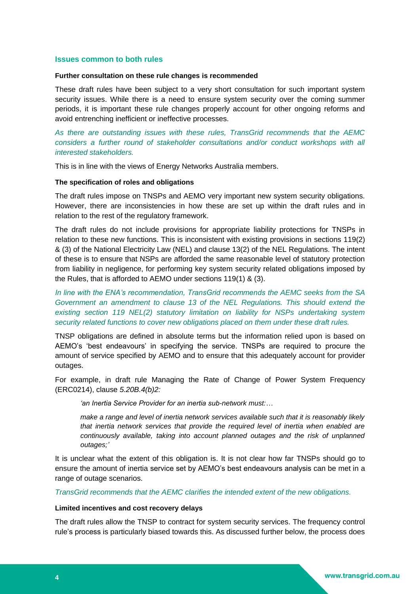# **Issues common to both rules**

### **Further consultation on these rule changes is recommended**

These draft rules have been subject to a very short consultation for such important system security issues. While there is a need to ensure system security over the coming summer periods, it is important these rule changes properly account for other ongoing reforms and avoid entrenching inefficient or ineffective processes.

*As there are outstanding issues with these rules, TransGrid recommends that the AEMC considers a further round of stakeholder consultations and/or conduct workshops with all interested stakeholders.* 

This is in line with the views of Energy Networks Australia members.

# **The specification of roles and obligations**

The draft rules impose on TNSPs and AEMO very important new system security obligations. However, there are inconsistencies in how these are set up within the draft rules and in relation to the rest of the regulatory framework.

The draft rules do not include provisions for appropriate liability protections for TNSPs in relation to these new functions. This is inconsistent with existing provisions in sections 119(2) & (3) of the National Electricity Law (NEL) and clause 13(2) of the NEL Regulations. The intent of these is to ensure that NSPs are afforded the same reasonable level of statutory protection from liability in negligence, for performing key system security related obligations imposed by the Rules, that is afforded to AEMO under sections 119(1) & (3).

*In line with the ENA's recommendation, TransGrid recommends the AEMC seeks from the SA Government an amendment to clause 13 of the NEL Regulations. This should extend the existing section 119 NEL(2) statutory limitation on liability for NSPs undertaking system security related functions to cover new obligations placed on them under these draft rules.*

TNSP obligations are defined in absolute terms but the information relied upon is based on AEMO's 'best endeavours' in specifying the service. TNSPs are required to procure the amount of service specified by AEMO and to ensure that this adequately account for provider outages.

For example, in draft rule Managing the Rate of Change of Power System Frequency (ERC0214), clause *5.20B.4(b)2:*

*'an Inertia Service Provider for an inertia sub-network must:…*

*make a range and level of inertia network services available such that it is reasonably likely that inertia network services that provide the required level of inertia when enabled are continuously available, taking into account planned outages and the risk of unplanned outages;'*

It is unclear what the extent of this obligation is. It is not clear how far TNSPs should go to ensure the amount of inertia service set by AEMO's best endeavours analysis can be met in a range of outage scenarios.

*TransGrid recommends that the AEMC clarifies the intended extent of the new obligations.* 

## **Limited incentives and cost recovery delays**

The draft rules allow the TNSP to contract for system security services. The frequency control rule's process is particularly biased towards this. As discussed further below, the process does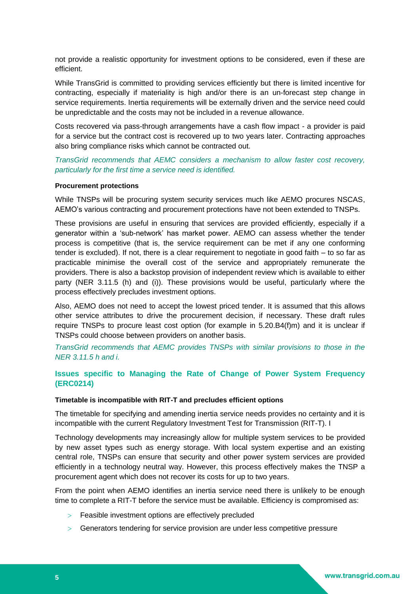not provide a realistic opportunity for investment options to be considered, even if these are efficient.

While TransGrid is committed to providing services efficiently but there is limited incentive for contracting, especially if materiality is high and/or there is an un-forecast step change in service requirements. Inertia requirements will be externally driven and the service need could be unpredictable and the costs may not be included in a revenue allowance.

Costs recovered via pass-through arrangements have a cash flow impact - a provider is paid for a service but the contract cost is recovered up to two years later. Contracting approaches also bring compliance risks which cannot be contracted out.

*TransGrid recommends that AEMC considers a mechanism to allow faster cost recovery, particularly for the first time a service need is identified.* 

### **Procurement protections**

While TNSPs will be procuring system security services much like AEMO procures NSCAS, AEMO's various contracting and procurement protections have not been extended to TNSPs.

These provisions are useful in ensuring that services are provided efficiently, especially if a generator within a 'sub-network' has market power. AEMO can assess whether the tender process is competitive (that is, the service requirement can be met if any one conforming tender is excluded). If not, there is a clear requirement to negotiate in good faith – to so far as practicable minimise the overall cost of the service and appropriately remunerate the providers. There is also a backstop provision of independent review which is available to either party (NER 3.11.5 (h) and (i)). These provisions would be useful, particularly where the process effectively precludes investment options.

Also, AEMO does not need to accept the lowest priced tender. It is assumed that this allows other service attributes to drive the procurement decision, if necessary. These draft rules require TNSPs to procure least cost option (for example in 5.20.B4(f)m) and it is unclear if TNSPs could choose between providers on another basis.

*TransGrid recommends that AEMC provides TNSPs with similar provisions to those in the NER 3.11.5 h and i.*

# **Issues specific to Managing the Rate of Change of Power System Frequency (ERC0214)**

## **Timetable is incompatible with RIT-T and precludes efficient options**

The timetable for specifying and amending inertia service needs provides no certainty and it is incompatible with the current Regulatory Investment Test for Transmission (RIT-T). I

Technology developments may increasingly allow for multiple system services to be provided by new asset types such as energy storage. With local system expertise and an existing central role, TNSPs can ensure that security and other power system services are provided efficiently in a technology neutral way. However, this process effectively makes the TNSP a procurement agent which does not recover its costs for up to two years.

From the point when AEMO identifies an inertia service need there is unlikely to be enough time to complete a RIT-T before the service must be available. Efficiency is compromised as:

- Feasible investment options are effectively precluded
- Generators tendering for service provision are under less competitive pressure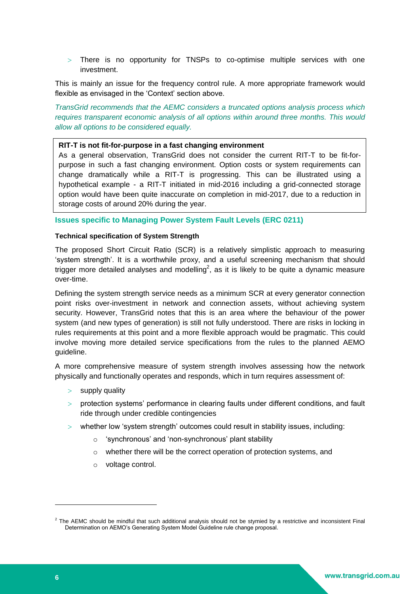There is no opportunity for TNSPs to co-optimise multiple services with one investment.

This is mainly an issue for the frequency control rule. A more appropriate framework would flexible as envisaged in the 'Context' section above.

*TransGrid recommends that the AEMC considers a truncated options analysis process which requires transparent economic analysis of all options within around three months. This would allow all options to be considered equally.*

# **RIT-T is not fit-for-purpose in a fast changing environment**

As a general observation, TransGrid does not consider the current RIT-T to be fit-forpurpose in such a fast changing environment. Option costs or system requirements can change dramatically while a RIT-T is progressing. This can be illustrated using a hypothetical example - a RIT-T initiated in mid-2016 including a grid-connected storage option would have been quite inaccurate on completion in mid-2017, due to a reduction in storage costs of around 20% during the year.

**Issues specific to Managing Power System Fault Levels (ERC 0211)**

# **Technical specification of System Strength**

The proposed Short Circuit Ratio (SCR) is a relatively simplistic approach to measuring 'system strength'. It is a worthwhile proxy, and a useful screening mechanism that should trigger more detailed analyses and modelling<sup>2</sup>, as it is likely to be quite a dynamic measure over-time.

Defining the system strength service needs as a minimum SCR at every generator connection point risks over-investment in network and connection assets, without achieving system security. However, TransGrid notes that this is an area where the behaviour of the power system (and new types of generation) is still not fully understood. There are risks in locking in rules requirements at this point and a more flexible approach would be pragmatic. This could involve moving more detailed service specifications from the rules to the planned AEMO guideline.

A more comprehensive measure of system strength involves assessing how the network physically and functionally operates and responds, which in turn requires assessment of:

- $>$  supply quality
- $>$  protection systems' performance in clearing faults under different conditions, and fault ride through under credible contingencies
- whether low 'system strength' outcomes could result in stability issues, including:
	- o 'synchronous' and 'non-synchronous' plant stability
	- o whether there will be the correct operation of protection systems, and
	- o voltage control.

-

 $2$  The AEMC should be mindful that such additional analysis should not be stymied by a restrictive and inconsistent Final Determination on AEMO's Generating System Model Guideline rule change proposal.